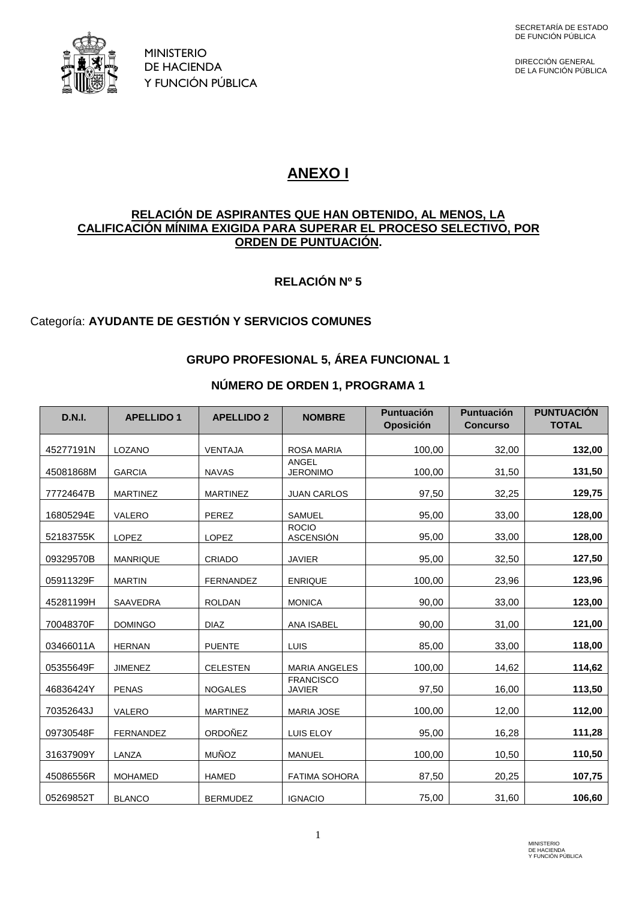

DIRECCIÓN GENERAL<br>DE LA FUNCIÓN PÚBLICA

# **ANEXO I**

#### **RELACIÓN DE ASPIRANTES QUE HAN OBTENIDO, AL MENOS, LA CALIFICACIÓN MÍNIMA EXIGIDA PARA SUPERAR EL PROCESO SELECTIVO, POR ORDEN DE PUNTUACIÓN.**

### **RELACIÓN Nº 5**

### Categoría: **AYUDANTE DE GESTIÓN Y SERVICIOS COMUNES**

### **GRUPO PROFESIONAL 5, ÁREA FUNCIONAL 1**

#### **NÚMERO DE ORDEN 1, PROGRAMA 1**

| <b>D.N.I.</b> | <b>APELLIDO 1</b> | <b>APELLIDO 2</b> | <b>NOMBRE</b>                     | <b>Puntuación</b><br><b>Oposición</b> | <b>Puntuación</b><br><b>Concurso</b> | <b>PUNTUACIÓN</b><br><b>TOTAL</b> |
|---------------|-------------------|-------------------|-----------------------------------|---------------------------------------|--------------------------------------|-----------------------------------|
| 45277191N     | LOZANO            | <b>VENTAJA</b>    | <b>ROSA MARIA</b>                 | 100,00                                | 32,00                                | 132,00                            |
| 45081868M     | <b>GARCIA</b>     | <b>NAVAS</b>      | ANGEL<br><b>JERONIMO</b>          | 100,00                                | 31,50                                | 131,50                            |
| 77724647B     | <b>MARTINEZ</b>   | <b>MARTINEZ</b>   | <b>JUAN CARLOS</b>                | 97,50                                 | 32,25                                | 129,75                            |
| 16805294E     | VALERO            | PEREZ             | <b>SAMUEL</b>                     | 95,00                                 | 33,00                                | 128,00                            |
| 52183755K     | LOPEZ             | LOPEZ             | <b>ROCIO</b><br><b>ASCENSIÓN</b>  | 95,00                                 | 33,00                                | 128,00                            |
| 09329570B     | <b>MANRIQUE</b>   | <b>CRIADO</b>     | <b>JAVIER</b>                     | 95,00                                 | 32,50                                | 127,50                            |
| 05911329F     | <b>MARTIN</b>     | <b>FERNANDEZ</b>  | <b>ENRIQUE</b>                    | 100,00                                | 23,96                                | 123,96                            |
| 45281199H     | SAAVEDRA          | <b>ROLDAN</b>     | <b>MONICA</b>                     | 90,00                                 | 33,00                                | 123,00                            |
| 70048370F     | <b>DOMINGO</b>    | <b>DIAZ</b>       | <b>ANA ISABEL</b>                 | 90,00                                 | 31,00                                | 121,00                            |
| 03466011A     | <b>HERNAN</b>     | <b>PUENTE</b>     | LUIS                              | 85,00                                 | 33,00                                | 118,00                            |
| 05355649F     | <b>JIMENEZ</b>    | <b>CELESTEN</b>   | <b>MARIA ANGELES</b>              | 100,00                                | 14,62                                | 114,62                            |
| 46836424Y     | <b>PENAS</b>      | <b>NOGALES</b>    | <b>FRANCISCO</b><br><b>JAVIER</b> | 97,50                                 | 16,00                                | 113,50                            |
| 70352643J     | VALERO            | <b>MARTINEZ</b>   | <b>MARIA JOSE</b>                 | 100,00                                | 12,00                                | 112,00                            |
| 09730548F     | <b>FERNANDEZ</b>  | ORDOÑEZ           | <b>LUIS ELOY</b>                  | 95,00                                 | 16,28                                | 111,28                            |
| 31637909Y     | LANZA             | <b>MUÑOZ</b>      | <b>MANUEL</b>                     | 100,00                                | 10,50                                | 110,50                            |
| 45086556R     | <b>MOHAMED</b>    | <b>HAMED</b>      | <b>FATIMA SOHORA</b>              | 87,50                                 | 20,25                                | 107,75                            |
| 05269852T     | <b>BLANCO</b>     | <b>BERMUDEZ</b>   | <b>IGNACIO</b>                    | 75,00                                 | 31,60                                | 106,60                            |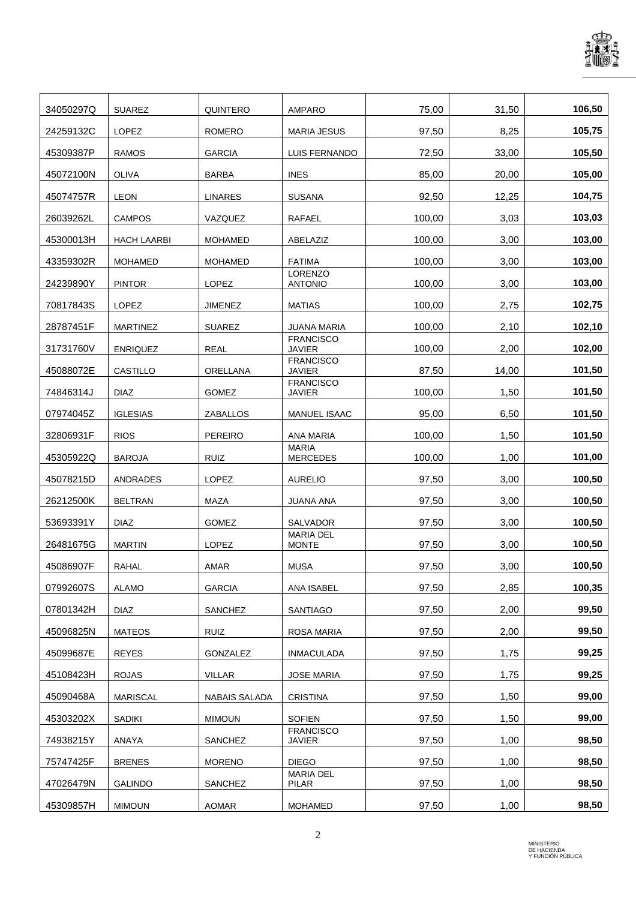

| 34050297Q | <b>SUAREZ</b>      | <b>QUINTERO</b>      | <b>AMPARO</b>                     | 75,00  | 31,50 | 106,50 |
|-----------|--------------------|----------------------|-----------------------------------|--------|-------|--------|
| 24259132C | LOPEZ              | <b>ROMERO</b>        | <b>MARIA JESUS</b>                | 97,50  | 8,25  | 105,75 |
| 45309387P | <b>RAMOS</b>       | <b>GARCIA</b>        | LUIS FERNANDO                     | 72,50  | 33,00 | 105,50 |
| 45072100N | <b>OLIVA</b>       | <b>BARBA</b>         | <b>INES</b>                       | 85,00  | 20,00 | 105,00 |
| 45074757R | <b>LEON</b>        | <b>LINARES</b>       | <b>SUSANA</b>                     | 92,50  | 12,25 | 104,75 |
| 26039262L | <b>CAMPOS</b>      | VAZQUEZ              | <b>RAFAEL</b>                     | 100,00 | 3,03  | 103,03 |
| 45300013H | <b>HACH LAARBI</b> | <b>MOHAMED</b>       | ABELAZIZ                          | 100,00 | 3,00  | 103,00 |
| 43359302R | <b>MOHAMED</b>     | <b>MOHAMED</b>       | <b>FATIMA</b>                     | 100,00 | 3,00  | 103,00 |
| 24239890Y | <b>PINTOR</b>      | LOPEZ                | <b>LORENZO</b><br><b>ANTONIO</b>  | 100.00 | 3,00  | 103,00 |
| 70817843S | <b>LOPEZ</b>       | <b>JIMENEZ</b>       | <b>MATIAS</b>                     | 100.00 | 2,75  | 102,75 |
| 28787451F | <b>MARTINEZ</b>    | <b>SUAREZ</b>        | JUANA MARIA                       | 100,00 | 2,10  | 102,10 |
| 31731760V | <b>ENRIQUEZ</b>    | <b>REAL</b>          | <b>FRANCISCO</b><br><b>JAVIER</b> | 100,00 | 2,00  | 102,00 |
| 45088072E | CASTILLO           | <b>ORELLANA</b>      | <b>FRANCISCO</b><br><b>JAVIER</b> | 87,50  | 14,00 | 101,50 |
| 74846314J | <b>DIAZ</b>        | <b>GOMEZ</b>         | <b>FRANCISCO</b><br><b>JAVIER</b> | 100,00 | 1,50  | 101,50 |
| 07974045Z | <b>IGLESIAS</b>    | ZABALLOS             | <b>MANUEL ISAAC</b>               | 95,00  | 6,50  | 101,50 |
| 32806931F | <b>RIOS</b>        | <b>PEREIRO</b>       | <b>ANA MARIA</b>                  | 100,00 | 1,50  | 101,50 |
| 45305922Q | <b>BAROJA</b>      | <b>RUIZ</b>          | <b>MARIA</b><br><b>MERCEDES</b>   | 100,00 | 1,00  | 101,00 |
| 45078215D | ANDRADES           | LOPEZ                | <b>AURELIO</b>                    | 97,50  | 3,00  | 100,50 |
| 26212500K | <b>BELTRAN</b>     | MAZA                 | <b>JUANA ANA</b>                  | 97,50  | 3,00  | 100,50 |
| 53693391Y | <b>DIAZ</b>        | <b>GOMEZ</b>         | <b>SALVADOR</b>                   | 97,50  | 3,00  | 100,50 |
| 26481675G | <b>MARTIN</b>      | <b>LOPEZ</b>         | <b>MARIA DEL</b><br><b>MONTE</b>  | 97,50  | 3,00  | 100,50 |
| 45086907F | <b>RAHAL</b>       | AMAR                 | <b>MUSA</b>                       | 97,50  | 3,00  | 100,50 |
| 07992607S | <b>ALAMO</b>       | <b>GARCIA</b>        | ANA ISABEL                        | 97,50  | 2,85  | 100,35 |
|           |                    |                      |                                   |        |       |        |
| 07801342H | <b>DIAZ</b>        | SANCHEZ              | SANTIAGO                          | 97,50  | 2,00  | 99,50  |
| 45096825N | <b>MATEOS</b>      | RUIZ                 | ROSA MARIA                        | 97,50  | 2,00  | 99,50  |
| 45099687E | <b>REYES</b>       | <b>GONZALEZ</b>      | <b>INMACULADA</b>                 | 97,50  | 1,75  | 99,25  |
| 45108423H | <b>ROJAS</b>       | VILLAR               | <b>JOSE MARIA</b>                 | 97,50  | 1,75  | 99,25  |
| 45090468A | <b>MARISCAL</b>    | <b>NABAIS SALADA</b> | <b>CRISTINA</b>                   | 97,50  | 1,50  | 99,00  |
| 45303202X | <b>SADIKI</b>      | <b>MIMOUN</b>        | <b>SOFIEN</b>                     | 97,50  | 1,50  | 99,00  |
| 74938215Y | ANAYA              | SANCHEZ              | <b>FRANCISCO</b><br>JAVIER        | 97,50  | 1,00  | 98,50  |
| 75747425F | <b>BRENES</b>      | <b>MORENO</b>        | <b>DIEGO</b>                      | 97,50  | 1,00  | 98,50  |
| 47026479N | <b>GALINDO</b>     | SANCHEZ              | <b>MARIA DEL</b><br>PILAR         | 97,50  | 1,00  | 98,50  |
| 45309857H | <b>MIMOUN</b>      | AOMAR                | <b>MOHAMED</b>                    | 97,50  | 1,00  | 98,50  |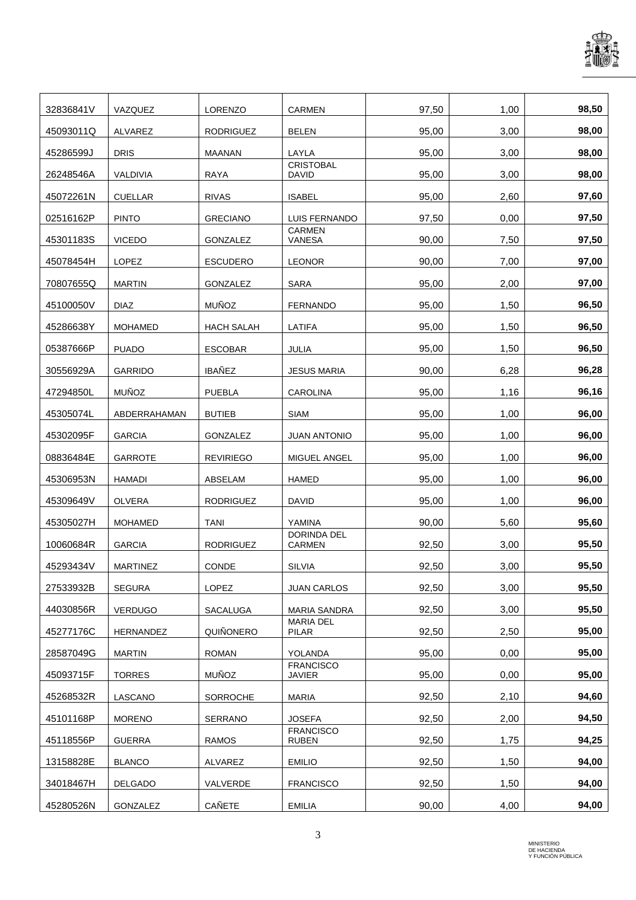

| 32836841V | VAZQUEZ         | <b>LORENZO</b>    | <b>CARMEN</b>                    | 97,50 | 1,00 | 98,50 |
|-----------|-----------------|-------------------|----------------------------------|-------|------|-------|
| 45093011Q | ALVAREZ         | <b>RODRIGUEZ</b>  | <b>BELEN</b>                     | 95,00 | 3,00 | 98,00 |
| 45286599J | <b>DRIS</b>     | <b>MAANAN</b>     | LAYLA                            | 95,00 | 3,00 | 98,00 |
| 26248546A | VALDIVIA        | <b>RAYA</b>       | <b>CRISTOBAL</b><br><b>DAVID</b> | 95,00 | 3,00 | 98,00 |
| 45072261N | <b>CUELLAR</b>  | <b>RIVAS</b>      | <b>ISABEL</b>                    | 95,00 | 2,60 | 97,60 |
| 02516162P | <b>PINTO</b>    | <b>GRECIANO</b>   | LUIS FERNANDO                    | 97,50 | 0,00 | 97,50 |
| 45301183S | <b>VICEDO</b>   | <b>GONZALEZ</b>   | <b>CARMEN</b><br>VANESA          | 90,00 | 7,50 | 97,50 |
| 45078454H | LOPEZ           | <b>ESCUDERO</b>   | <b>LEONOR</b>                    | 90,00 | 7,00 | 97,00 |
| 70807655Q | <b>MARTIN</b>   | <b>GONZALEZ</b>   | <b>SARA</b>                      | 95,00 | 2,00 | 97,00 |
| 45100050V | <b>DIAZ</b>     | <b>MUÑOZ</b>      | <b>FERNANDO</b>                  | 95,00 | 1,50 | 96,50 |
| 45286638Y | <b>MOHAMED</b>  | <b>HACH SALAH</b> | <b>LATIFA</b>                    | 95,00 | 1,50 | 96,50 |
| 05387666P | <b>PUADO</b>    | <b>ESCOBAR</b>    | JULIA                            | 95,00 | 1,50 | 96,50 |
| 30556929A | <b>GARRIDO</b>  | <b>IBAÑEZ</b>     | <b>JESUS MARIA</b>               | 90,00 | 6,28 | 96,28 |
| 47294850L | <b>MUÑOZ</b>    | <b>PUEBLA</b>     | <b>CAROLINA</b>                  | 95,00 | 1,16 | 96,16 |
| 45305074L | ABDERRAHAMAN    | <b>BUTIEB</b>     | <b>SIAM</b>                      | 95,00 | 1,00 | 96,00 |
| 45302095F | <b>GARCIA</b>   | <b>GONZALEZ</b>   | <b>JUAN ANTONIO</b>              | 95,00 | 1,00 | 96,00 |
| 08836484E | <b>GARROTE</b>  | <b>REVIRIEGO</b>  | MIGUEL ANGEL                     | 95,00 | 1,00 | 96,00 |
| 45306953N | <b>HAMADI</b>   | ABSELAM           | <b>HAMED</b>                     | 95,00 | 1,00 | 96,00 |
| 45309649V | <b>OLVERA</b>   | <b>RODRIGUEZ</b>  | <b>DAVID</b>                     | 95,00 | 1,00 | 96,00 |
| 45305027H | <b>MOHAMED</b>  | <b>TANI</b>       | YAMINA                           | 90,00 | 5,60 | 95,60 |
| 10060684R | <b>GARCIA</b>   | <b>RODRIGUEZ</b>  | DORINDA DEL<br><b>CARMEN</b>     | 92.50 | 3,00 | 95,50 |
| 45293434V | <b>MARTINEZ</b> | CONDE             | <b>SILVIA</b>                    | 92,50 | 3,00 | 95,50 |
| 27533932B | <b>SEGURA</b>   | LOPEZ             | <b>JUAN CARLOS</b>               | 92,50 | 3,00 | 95,50 |
| 44030856R | <b>VERDUGO</b>  | SACALUGA          | <b>MARIA SANDRA</b>              | 92,50 | 3,00 | 95,50 |
| 45277176C | HERNANDEZ       | QUIÑONERO         | <b>MARIA DEL</b><br>PILAR        | 92,50 | 2,50 | 95,00 |
| 28587049G | <b>MARTIN</b>   | <b>ROMAN</b>      | YOLANDA                          | 95,00 | 0,00 | 95,00 |
| 45093715F | <b>TORRES</b>   | <b>MUÑOZ</b>      | <b>FRANCISCO</b><br>JAVIER       | 95,00 | 0,00 | 95,00 |
| 45268532R | LASCANO         | SORROCHE          | <b>MARIA</b>                     | 92,50 | 2,10 | 94,60 |
| 45101168P | <b>MORENO</b>   | SERRANO           | <b>JOSEFA</b>                    | 92,50 | 2,00 | 94,50 |
| 45118556P | <b>GUERRA</b>   | RAMOS             | <b>FRANCISCO</b><br><b>RUBEN</b> | 92,50 | 1,75 | 94,25 |
| 13158828E | <b>BLANCO</b>   | ALVAREZ           | <b>EMILIO</b>                    | 92,50 | 1,50 | 94,00 |
| 34018467H | DELGADO         | VALVERDE          | <b>FRANCISCO</b>                 | 92,50 | 1,50 | 94,00 |
| 45280526N | GONZALEZ        | CAÑETE            | <b>EMILIA</b>                    | 90,00 | 4,00 | 94,00 |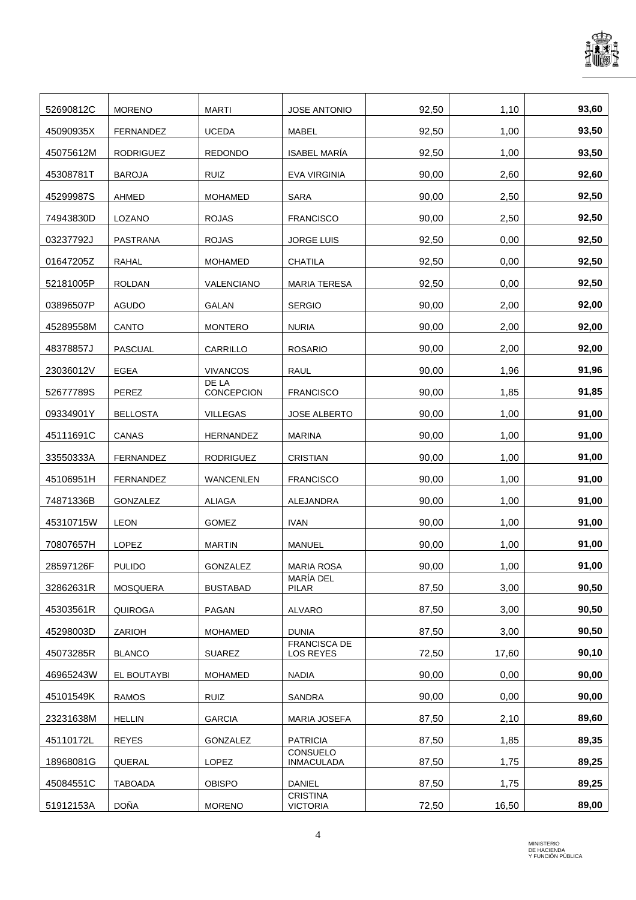

| 52690812C | <b>MORENO</b>    | <b>MARTI</b>        | <b>JOSE ANTONIO</b>              | 92,50 | 1,10  | 93,60 |
|-----------|------------------|---------------------|----------------------------------|-------|-------|-------|
| 45090935X | FERNANDEZ        | <b>UCEDA</b>        | <b>MABEL</b>                     | 92,50 | 1,00  | 93,50 |
| 45075612M | <b>RODRIGUEZ</b> | <b>REDONDO</b>      | <b>ISABEL MARÍA</b>              | 92,50 | 1,00  | 93,50 |
| 45308781T | <b>BAROJA</b>    | <b>RUIZ</b>         | EVA VIRGINIA                     | 90,00 | 2,60  | 92,60 |
| 45299987S | <b>AHMED</b>     | <b>MOHAMED</b>      | <b>SARA</b>                      | 90,00 | 2,50  | 92,50 |
| 74943830D | LOZANO           | <b>ROJAS</b>        | <b>FRANCISCO</b>                 | 90,00 | 2,50  | 92,50 |
| 03237792J | PASTRANA         | <b>ROJAS</b>        | <b>JORGE LUIS</b>                | 92.50 | 0,00  | 92,50 |
| 01647205Z | RAHAL            | <b>MOHAMED</b>      | <b>CHATILA</b>                   | 92,50 | 0,00  | 92,50 |
| 52181005P | <b>ROLDAN</b>    | VALENCIANO          | <b>MARIA TERESA</b>              | 92,50 | 0,00  | 92,50 |
| 03896507P | <b>AGUDO</b>     | <b>GALAN</b>        | <b>SERGIO</b>                    | 90,00 | 2,00  | 92,00 |
| 45289558M | CANTO            | <b>MONTERO</b>      | <b>NURIA</b>                     | 90,00 | 2,00  | 92,00 |
| 48378857J | PASCUAL          | CARRILLO            | <b>ROSARIO</b>                   | 90,00 | 2,00  | 92,00 |
| 23036012V | EGEA             | <b>VIVANCOS</b>     | RAUL                             | 90,00 | 1,96  | 91,96 |
| 52677789S | PEREZ            | DE LA<br>CONCEPCION | <b>FRANCISCO</b>                 | 90,00 | 1,85  | 91,85 |
| 09334901Y | <b>BELLOSTA</b>  | <b>VILLEGAS</b>     | <b>JOSE ALBERTO</b>              | 90,00 | 1,00  | 91,00 |
| 45111691C | CANAS            | HERNANDEZ           | <b>MARINA</b>                    | 90,00 | 1,00  | 91,00 |
| 33550333A | <b>FERNANDEZ</b> | <b>RODRIGUEZ</b>    | <b>CRISTIAN</b>                  | 90,00 | 1,00  | 91,00 |
| 45106951H | FERNANDEZ        | <b>WANCENLEN</b>    | <b>FRANCISCO</b>                 | 90,00 | 1,00  | 91,00 |
| 74871336B | GONZALEZ         | <b>ALIAGA</b>       | ALEJANDRA                        | 90,00 | 1,00  | 91,00 |
| 45310715W | <b>LEON</b>      | GOMEZ               | <b>IVAN</b>                      | 90,00 | 1,00  | 91,00 |
| 70807657H | <b>LOPEZ</b>     | <b>MARTIN</b>       | <b>MANUEL</b>                    | 90,00 | 1,00  | 91,00 |
| 28597126F | <b>PULIDO</b>    | GONZALEZ            | <b>MARIA ROSA</b>                | 90,00 | 1,00  | 91,00 |
| 32862631R | <b>MOSQUERA</b>  | <b>BUSTABAD</b>     | MARÍA DEL<br>PILAR               | 87,50 | 3,00  | 90,50 |
| 45303561R | QUIROGA          | PAGAN               | <b>ALVARO</b>                    | 87,50 | 3,00  | 90,50 |
| 45298003D | ZARIOH           | <b>MOHAMED</b>      | <b>DUNIA</b>                     | 87,50 | 3,00  | 90,50 |
| 45073285R | <b>BLANCO</b>    | <b>SUAREZ</b>       | <b>FRANCISCA DE</b><br>LOS REYES | 72,50 | 17,60 | 90,10 |
| 46965243W | EL BOUTAYBI      | <b>MOHAMED</b>      | <b>NADIA</b>                     | 90,00 | 0,00  | 90,00 |
| 45101549K | <b>RAMOS</b>     | <b>RUIZ</b>         | SANDRA                           | 90,00 | 0,00  | 90,00 |
| 23231638M | <b>HELLIN</b>    | <b>GARCIA</b>       | <b>MARIA JOSEFA</b>              | 87,50 | 2,10  | 89,60 |
| 45110172L | <b>REYES</b>     | GONZALEZ            | <b>PATRICIA</b>                  | 87,50 | 1,85  | 89,35 |
| 18968081G | QUERAL           | <b>LOPEZ</b>        | CONSUELO<br>INMACULADA           | 87,50 | 1,75  | 89,25 |
| 45084551C | <b>TABOADA</b>   | <b>OBISPO</b>       | DANIEL                           | 87,50 | 1,75  | 89,25 |
|           | DOÑA             |                     | <b>CRISTINA</b>                  |       |       | 89,00 |
| 51912153A |                  | <b>MORENO</b>       | <b>VICTORIA</b>                  | 72,50 | 16,50 |       |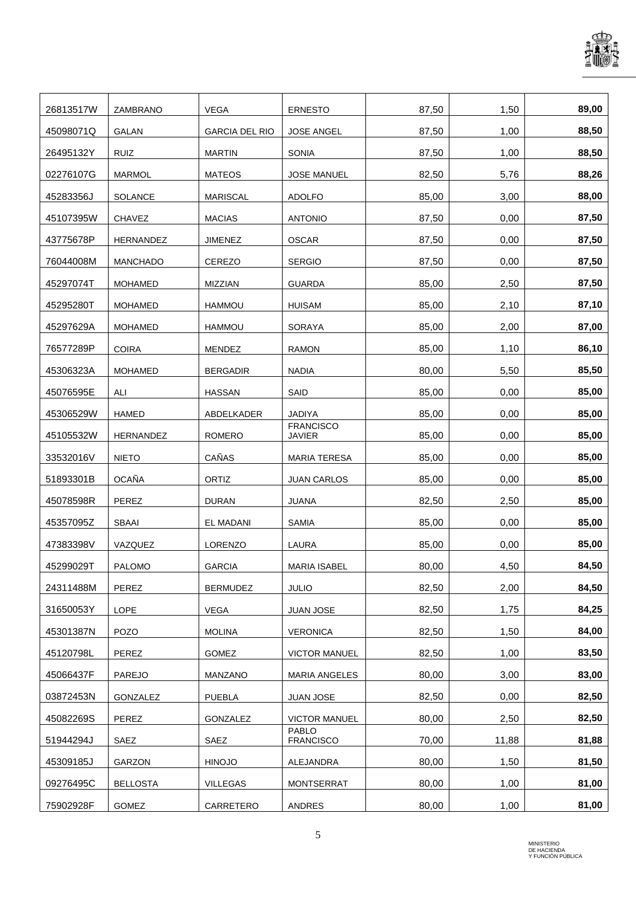

| 26813517W | ZAMBRANO        | <b>VEGA</b>           | <b>ERNESTO</b>                    | 87,50 | 1,50  | 89,00 |
|-----------|-----------------|-----------------------|-----------------------------------|-------|-------|-------|
| 45098071Q | <b>GALAN</b>    | <b>GARCIA DEL RIO</b> | <b>JOSE ANGEL</b>                 | 87,50 | 1,00  | 88,50 |
| 26495132Y | <b>RUIZ</b>     | <b>MARTIN</b>         | <b>SONIA</b>                      | 87,50 | 1,00  | 88,50 |
| 02276107G | <b>MARMOL</b>   | <b>MATEOS</b>         | <b>JOSE MANUEL</b>                | 82,50 | 5,76  | 88,26 |
| 45283356J | <b>SOLANCE</b>  | <b>MARISCAL</b>       | <b>ADOLFO</b>                     | 85,00 | 3,00  | 88,00 |
| 45107395W | <b>CHAVEZ</b>   | <b>MACIAS</b>         | <b>ANTONIO</b>                    | 87,50 | 0,00  | 87,50 |
| 43775678P | HERNANDEZ       | <b>JIMENEZ</b>        | <b>OSCAR</b>                      | 87,50 | 0,00  | 87,50 |
| 76044008M | <b>MANCHADO</b> | <b>CEREZO</b>         | <b>SERGIO</b>                     | 87,50 | 0,00  | 87,50 |
| 45297074T | <b>MOHAMED</b>  | MIZZIAN               | <b>GUARDA</b>                     | 85,00 | 2,50  | 87,50 |
| 45295280T | <b>MOHAMED</b>  | <b>HAMMOU</b>         | <b>HUISAM</b>                     | 85,00 | 2,10  | 87,10 |
| 45297629A | <b>MOHAMED</b>  | <b>HAMMOU</b>         | SORAYA                            | 85,00 | 2,00  | 87,00 |
| 76577289P | <b>COIRA</b>    | <b>MENDEZ</b>         | <b>RAMON</b>                      | 85,00 | 1,10  | 86,10 |
| 45306323A | <b>MOHAMED</b>  | <b>BERGADIR</b>       | <b>NADIA</b>                      | 80,00 | 5,50  | 85,50 |
| 45076595E | ALI             | <b>HASSAN</b>         | SAID                              | 85,00 | 0,00  | 85,00 |
| 45306529W | <b>HAMED</b>    | ABDELKADER            | <b>JADIYA</b>                     | 85,00 | 0,00  | 85,00 |
| 45105532W | HERNANDEZ       | <b>ROMERO</b>         | <b>FRANCISCO</b><br><b>JAVIER</b> | 85,00 | 0,00  | 85,00 |
| 33532016V | <b>NIETO</b>    | CAÑAS                 | <b>MARIA TERESA</b>               | 85,00 | 0,00  | 85,00 |
| 51893301B | <b>OCAÑA</b>    | ORTIZ                 | <b>JUAN CARLOS</b>                | 85,00 | 0,00  | 85,00 |
| 45078598R | PEREZ           | <b>DURAN</b>          | <b>JUANA</b>                      | 82,50 | 2,50  | 85,00 |
| 45357095Z | <b>SBAAI</b>    | <b>EL MADANI</b>      | <b>SAMIA</b>                      | 85,00 | 0,00  | 85,00 |
| 47383398V | VAZQUEZ         | <b>LORENZO</b>        | <b>LAURA</b>                      | 85,00 | 0,00  | 85,00 |
| 45299029T | <b>PALOMO</b>   | <b>GARCIA</b>         | MARIA ISABEL                      | 80,00 | 4,50  | 84,50 |
| 24311488M | PEREZ           | <b>BERMUDEZ</b>       | <b>JULIO</b>                      | 82,50 | 2,00  | 84,50 |
| 31650053Y | LOPE            | VEGA                  | JUAN JOSE                         | 82,50 | 1,75  | 84,25 |
| 45301387N | POZO            | <b>MOLINA</b>         | <b>VERONICA</b>                   | 82,50 | 1,50  | 84,00 |
| 45120798L | PEREZ           | <b>GOMEZ</b>          | <b>VICTOR MANUEL</b>              | 82,50 | 1,00  | 83,50 |
| 45066437F | PAREJO          | MANZANO               | MARIA ANGELES                     | 80,00 | 3,00  | 83,00 |
| 03872453N | GONZALEZ        | <b>PUEBLA</b>         | JUAN JOSE                         | 82,50 | 0,00  | 82,50 |
| 45082269S | PEREZ           | GONZALEZ              | <b>VICTOR MANUEL</b>              | 80,00 | 2,50  | 82,50 |
| 51944294J | SAEZ            | SAEZ                  | <b>PABLO</b><br><b>FRANCISCO</b>  | 70,00 | 11,88 | 81,88 |
| 45309185J | GARZON          | <b>HINOJO</b>         | ALEJANDRA                         | 80,00 | 1,50  | 81,50 |
| 09276495C | <b>BELLOSTA</b> | VILLEGAS              | MONTSERRAT                        | 80,00 | 1,00  | 81,00 |
| 75902928F | <b>GOMEZ</b>    | CARRETERO             | ANDRES                            | 80,00 | 1,00  | 81,00 |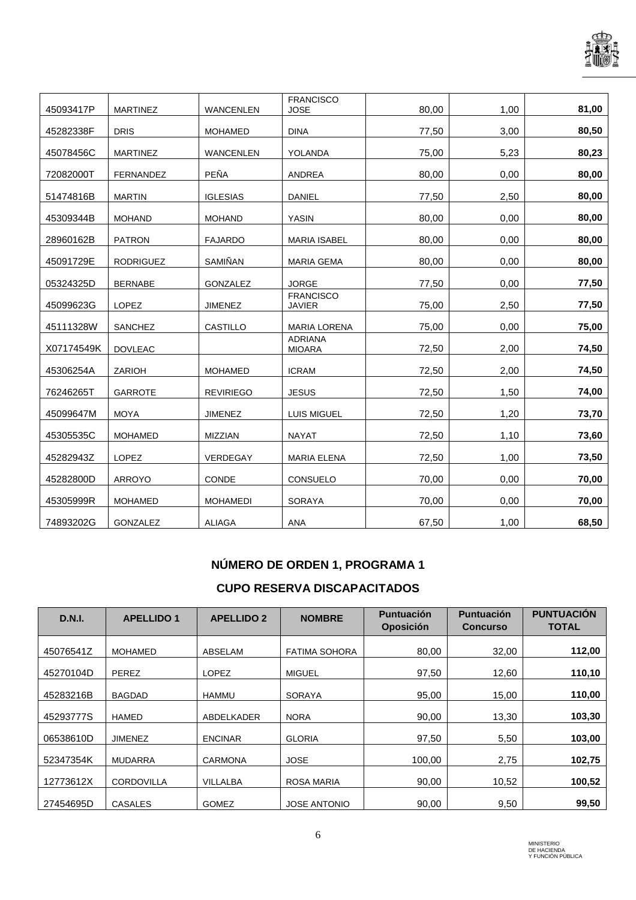

|            |                  |                  | <b>FRANCISCO</b><br><b>JOSE</b>   |       |      | 81,00 |
|------------|------------------|------------------|-----------------------------------|-------|------|-------|
| 45093417P  | <b>MARTINEZ</b>  | <b>WANCENLEN</b> |                                   | 80,00 | 1,00 |       |
| 45282338F  | <b>DRIS</b>      | <b>MOHAMED</b>   | <b>DINA</b>                       | 77,50 | 3,00 | 80,50 |
| 45078456C  | <b>MARTINEZ</b>  | <b>WANCENLEN</b> | YOLANDA                           | 75,00 | 5,23 | 80,23 |
| 72082000T  | <b>FERNANDEZ</b> | PEÑA             | <b>ANDREA</b>                     | 80,00 | 0,00 | 80,00 |
| 51474816B  | <b>MARTIN</b>    | <b>IGLESIAS</b>  | <b>DANIEL</b>                     | 77,50 | 2,50 | 80,00 |
| 45309344B  | <b>MOHAND</b>    | <b>MOHAND</b>    | <b>YASIN</b>                      | 80,00 | 0,00 | 80,00 |
| 28960162B  | <b>PATRON</b>    | <b>FAJARDO</b>   | <b>MARIA ISABEL</b>               | 80,00 | 0,00 | 80,00 |
| 45091729E  | <b>RODRIGUEZ</b> | SAMIÑAN          | <b>MARIA GEMA</b>                 | 80,00 | 0.00 | 80,00 |
| 05324325D  | <b>BERNABE</b>   | GONZALEZ         | <b>JORGE</b>                      | 77,50 | 0.00 | 77,50 |
| 45099623G  | <b>LOPEZ</b>     | <b>JIMENEZ</b>   | <b>FRANCISCO</b><br><b>JAVIER</b> | 75,00 | 2,50 | 77,50 |
| 45111328W  | SANCHEZ          | CASTILLO         | <b>MARIA LORENA</b>               | 75,00 | 0,00 | 75,00 |
| X07174549K | <b>DOVLEAC</b>   |                  | <b>ADRIANA</b><br><b>MIOARA</b>   | 72,50 | 2,00 | 74,50 |
| 45306254A  | ZARIOH           | <b>MOHAMED</b>   | <b>ICRAM</b>                      | 72,50 | 2,00 | 74,50 |
| 76246265T  | <b>GARROTE</b>   | <b>REVIRIEGO</b> | <b>JESUS</b>                      | 72,50 | 1,50 | 74,00 |
| 45099647M  | <b>MOYA</b>      | <b>JIMENEZ</b>   | LUIS MIGUEL                       | 72,50 | 1,20 | 73,70 |
| 45305535C  | <b>MOHAMED</b>   | MIZZIAN          | <b>NAYAT</b>                      | 72,50 | 1,10 | 73,60 |
| 45282943Z  | LOPEZ            | VERDEGAY         | <b>MARIA ELENA</b>                | 72,50 | 1,00 | 73,50 |
| 45282800D  | <b>ARROYO</b>    | CONDE            | CONSUELO                          | 70,00 | 0,00 | 70,00 |
| 45305999R  | <b>MOHAMED</b>   | <b>MOHAMEDI</b>  | <b>SORAYA</b>                     | 70,00 | 0.00 | 70,00 |
| 74893202G  | <b>GONZALEZ</b>  | <b>ALIAGA</b>    | <b>ANA</b>                        | 67,50 | 1,00 | 68,50 |

## **NÚMERO DE ORDEN 1, PROGRAMA 1**

## **CUPO RESERVA DISCAPACITADOS**

| <b>D.N.I.</b> | <b>APELLIDO 1</b> | <b>APELLIDO 2</b> | <b>NOMBRE</b>        | <b>Puntuación</b><br><b>Oposición</b> | <b>Puntuación</b><br><b>Concurso</b> | <b>PUNTUACIÓN</b><br><b>TOTAL</b> |
|---------------|-------------------|-------------------|----------------------|---------------------------------------|--------------------------------------|-----------------------------------|
| 45076541Z     | <b>MOHAMED</b>    | ABSELAM           | <b>FATIMA SOHORA</b> | 80,00                                 | 32,00                                | 112,00                            |
| 45270104D     | PEREZ             | <b>LOPEZ</b>      | <b>MIGUEL</b>        | 97,50                                 | 12,60                                | 110,10                            |
| 45283216B     | <b>BAGDAD</b>     | <b>HAMMU</b>      | SORAYA               | 95,00                                 | 15,00                                | 110,00                            |
| 45293777S     | HAMED             | ABDELKADER        | <b>NORA</b>          | 90,00                                 | 13,30                                | 103,30                            |
| 06538610D     | <b>JIMENEZ</b>    | <b>ENCINAR</b>    | <b>GLORIA</b>        | 97,50                                 | 5,50                                 | 103,00                            |
| 52347354K     | <b>MUDARRA</b>    | <b>CARMONA</b>    | <b>JOSE</b>          | 100,00                                | 2,75                                 | 102,75                            |
| 12773612X     | <b>CORDOVILLA</b> | <b>VILLALBA</b>   | <b>ROSA MARIA</b>    | 90,00                                 | 10,52                                | 100,52                            |
| 27454695D     | <b>CASALES</b>    | <b>GOMEZ</b>      | <b>JOSE ANTONIO</b>  | 90.00                                 | 9,50                                 | 99,50                             |